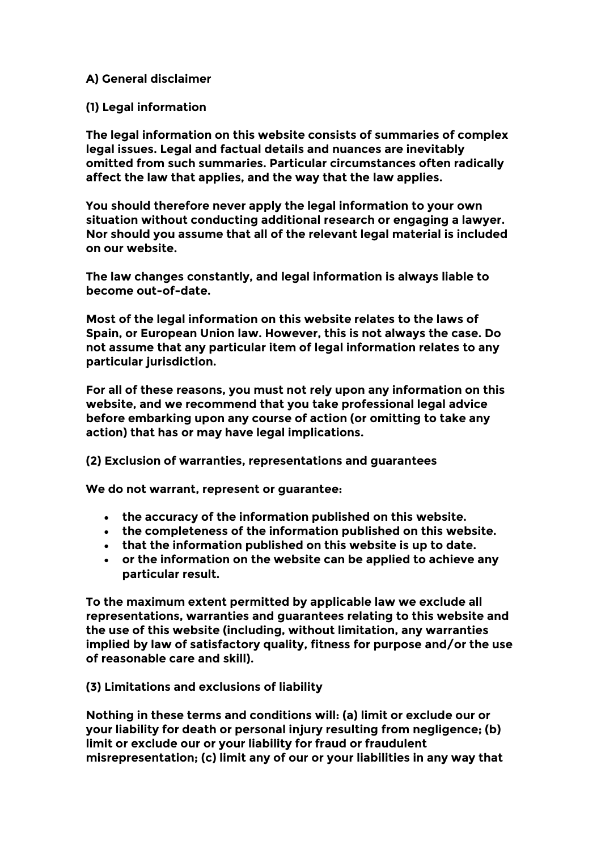# **A) General disclaimer**

# **(1) Legal information**

**The legal information on this website consists of summaries of complex legal issues. Legal and factual details and nuances are inevitably omitted from such summaries. Particular circumstances often radically affect the law that applies, and the way that the law applies.**

**You should therefore never apply the legal information to your own situation without conducting additional research or engaging a lawyer. Nor should you assume that all of the relevant legal material is included on our website.**

**The law changes constantly, and legal information is always liable to become out-of-date.**

**Most of the legal information on this website relates to the laws of Spain, or European Union law. However, this is not always the case. Do not assume that any particular item of legal information relates to any particular jurisdiction.**

**For all of these reasons, you must not rely upon any information on this website, and we recommend that you take professional legal advice before embarking upon any course of action (or omitting to take any action) that has or may have legal implications.**

**(2) Exclusion of warranties, representations and guarantees**

**We do not warrant, represent or guarantee:**

- **the accuracy of the information published on this website.**
- **the completeness of the information published on this website.**
- **that the information published on this website is up to date.**
- **or the information on the website can be applied to achieve any particular result.**

**To the maximum extent permitted by applicable law we exclude all representations, warranties and guarantees relating to this website and the use of this website (including, without limitation, any warranties implied by law of satisfactory quality, fitness for purpose and/or the use of reasonable care and skill).**

**(3) Limitations and exclusions of liability**

**Nothing in these terms and conditions will: (a) limit or exclude our or your liability for death or personal injury resulting from negligence; (b) limit or exclude our or your liability for fraud or fraudulent misrepresentation; (c) limit any of our or your liabilities in any way that**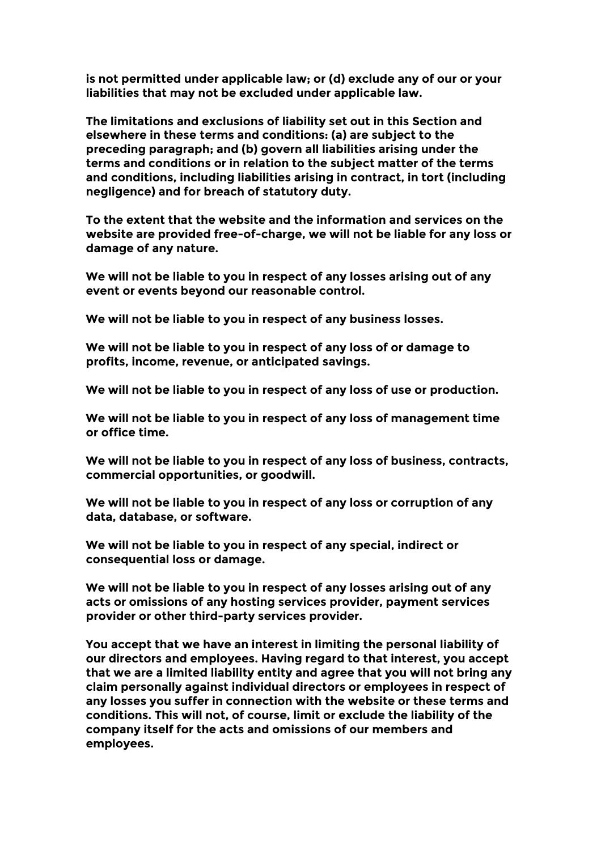**is not permitted under applicable law; or (d) exclude any of our or your liabilities that may not be excluded under applicable law.**

**The limitations and exclusions of liability set out in this Section and elsewhere in these terms and conditions: (a) are subject to the preceding paragraph; and (b) govern all liabilities arising under the terms and conditions or in relation to the subject matter of the terms and conditions, including liabilities arising in contract, in tort (including negligence) and for breach of statutory duty.**

**To the extent that the website and the information and services on the website are provided free-of-charge, we will not be liable for any loss or damage of any nature.**

**We will not be liable to you in respect of any losses arising out of any event or events beyond our reasonable control.**

**We will not be liable to you in respect of any business losses.**

**We will not be liable to you in respect of any loss of or damage to profits, income, revenue, or anticipated savings.**

**We will not be liable to you in respect of any loss of use or production.**

**We will not be liable to you in respect of any loss of management time or office time.**

**We will not be liable to you in respect of any loss of business, contracts, commercial opportunities, or goodwill.**

**We will not be liable to you in respect of any loss or corruption of any data, database, or software.**

**We will not be liable to you in respect of any special, indirect or consequential loss or damage.**

**We will not be liable to you in respect of any losses arising out of any acts or omissions of any hosting services provider, payment services provider or other third-party services provider.**

**You accept that we have an interest in limiting the personal liability of our directors and employees. Having regard to that interest, you accept that we are a limited liability entity and agree that you will not bring any claim personally against individual directors or employees in respect of any losses you suffer in connection with the website or these terms and conditions. This will not, of course, limit or exclude the liability of the company itself for the acts and omissions of our members and employees.**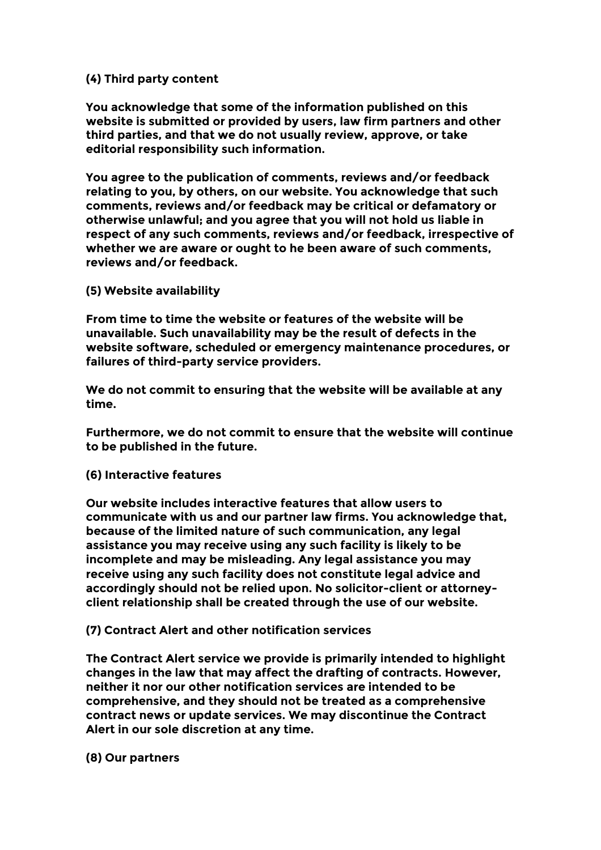# **(4) Third party content**

**You acknowledge that some of the information published on this website is submitted or provided by users, law firm partners and other third parties, and that we do not usually review, approve, or take editorial responsibility such information.**

**You agree to the publication of comments, reviews and/or feedback relating to you, by others, on our website. You acknowledge that such comments, reviews and/or feedback may be critical or defamatory or otherwise unlawful; and you agree that you will not hold us liable in respect of any such comments, reviews and/or feedback, irrespective of whether we are aware or ought to he been aware of such comments, reviews and/or feedback.**

### **(5) Website availability**

**From time to time the website or features of the website will be unavailable. Such unavailability may be the result of defects in the website software, scheduled or emergency maintenance procedures, or failures of third-party service providers.**

**We do not commit to ensuring that the website will be available at any time.**

**Furthermore, we do not commit to ensure that the website will continue to be published in the future.**

#### **(6) Interactive features**

**Our website includes interactive features that allow users to communicate with us and our partner law firms. You acknowledge that, because of the limited nature of such communication, any legal assistance you may receive using any such facility is likely to be incomplete and may be misleading. Any legal assistance you may receive using any such facility does not constitute legal advice and accordingly should not be relied upon. No solicitor-client or attorneyclient relationship shall be created through the use of our website.**

### **(7) Contract Alert and other notification services**

**The Contract Alert service we provide is primarily intended to highlight changes in the law that may affect the drafting of contracts. However, neither it nor our other notification services are intended to be comprehensive, and they should not be treated as a comprehensive contract news or update services. We may discontinue the Contract Alert in our sole discretion at any time.**

**(8) Our partners**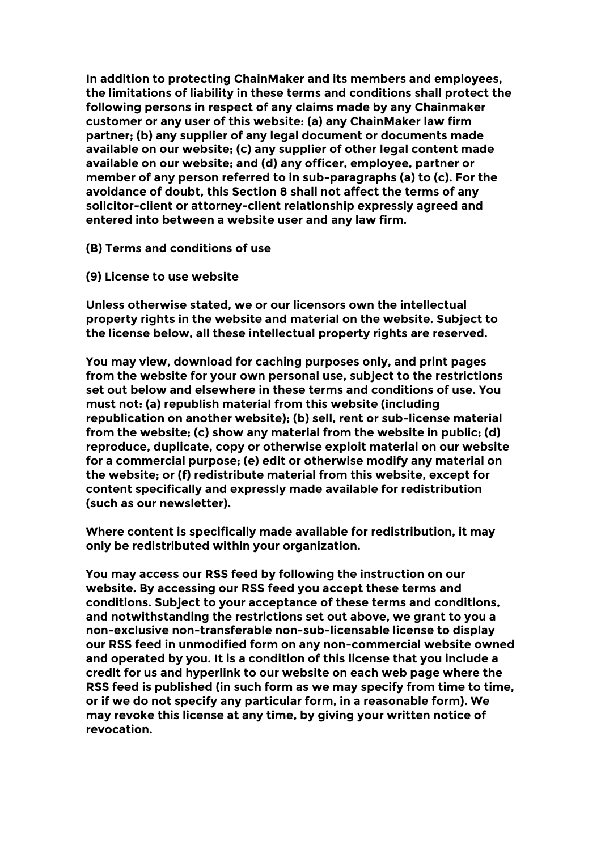**In addition to protecting ChainMaker and its members and employees, the limitations of liability in these terms and conditions shall protect the following persons in respect of any claims made by any Chainmaker customer or any user of this website: (a) any ChainMaker law firm partner; (b) any supplier of any legal document or documents made available on our website; (c) any supplier of other legal content made available on our website; and (d) any officer, employee, partner or member of any person referred to in sub-paragraphs (a) to (c). For the avoidance of doubt, this Section 8 shall not affect the terms of any solicitor-client or attorney-client relationship expressly agreed and entered into between a website user and any law firm.**

- **(B) Terms and conditions of use**
- **(9) License to use website**

**Unless otherwise stated, we or our licensors own the intellectual property rights in the website and material on the website. Subject to the license below, all these intellectual property rights are reserved.**

**You may view, download for caching purposes only, and print pages from the website for your own personal use, subject to the restrictions set out below and elsewhere in these terms and conditions of use. You must not: (a) republish material from this website (including republication on another website); (b) sell, rent or sub-license material from the website; (c) show any material from the website in public; (d) reproduce, duplicate, copy or otherwise exploit material on our website for a commercial purpose; (e) edit or otherwise modify any material on the website; or (f) redistribute material from this website, except for content specifically and expressly made available for redistribution (such as our newsletter).**

**Where content is specifically made available for redistribution, it may only be redistributed within your organization.**

**You may access our RSS feed by following the instruction on our website. By accessing our RSS feed you accept these terms and conditions. Subject to your acceptance of these terms and conditions, and notwithstanding the restrictions set out above, we grant to you a non-exclusive non-transferable non-sub-licensable license to display our RSS feed in unmodified form on any non-commercial website owned and operated by you. It is a condition of this license that you include a credit for us and hyperlink to our website on each web page where the RSS feed is published (in such form as we may specify from time to time, or if we do not specify any particular form, in a reasonable form). We may revoke this license at any time, by giving your written notice of revocation.**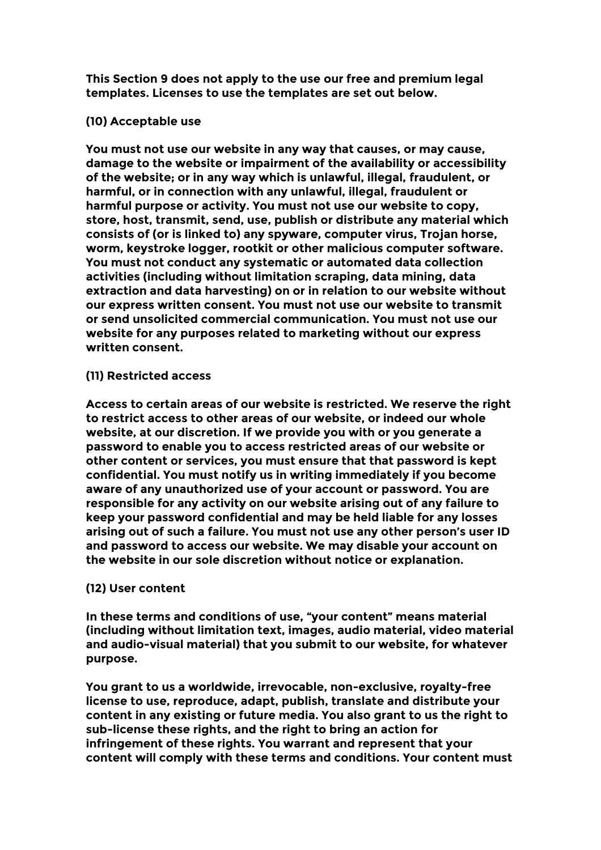**This Section 9 does not apply to the use our free and premium legal templates. Licenses to use the templates are set out below.**

# **(10) Acceptable use**

**You must not use our website in any way that causes, or may cause, damage to the website or impairment of the availability or accessibility of the website; or in any way which is unlawful, illegal, fraudulent, or harmful, or in connection with any unlawful, illegal, fraudulent or harmful purpose or activity. You must not use our website to copy, store, host, transmit, send, use, publish or distribute any material which consists of (or is linked to) any spyware, computer virus, Trojan horse, worm, keystroke logger, rootkit or other malicious computer software. You must not conduct any systematic or automated data collection activities (including without limitation scraping, data mining, data extraction and data harvesting) on or in relation to our website without our express written consent. You must not use our website to transmit or send unsolicited commercial communication. You must not use our website for any purposes related to marketing without our express written consent.**

### **(11) Restricted access**

**Access to certain areas of our website is restricted. We reserve the right to restrict access to other areas of our website, or indeed our whole website, at our discretion. If we provide you with or you generate a password to enable you to access restricted areas of our website or other content or services, you must ensure that that password is kept confidential. You must notify us in writing immediately if you become aware of any unauthorized use of your account or password. You are responsible for any activity on our website arising out of any failure to keep your password confidential and may be held liable for any losses arising out of such a failure. You must not use any other person's user ID and password to access our website. We may disable your account on the website in our sole discretion without notice or explanation.**

### **(12) User content**

**In these terms and conditions of use, "your content" means material (including without limitation text, images, audio material, video material and audio-visual material) that you submit to our website, for whatever purpose.**

**You grant to us a worldwide, irrevocable, non-exclusive, royalty-free license to use, reproduce, adapt, publish, translate and distribute your content in any existing or future media. You also grant to us the right to sub-license these rights, and the right to bring an action for infringement of these rights. You warrant and represent that your content will comply with these terms and conditions. Your content must**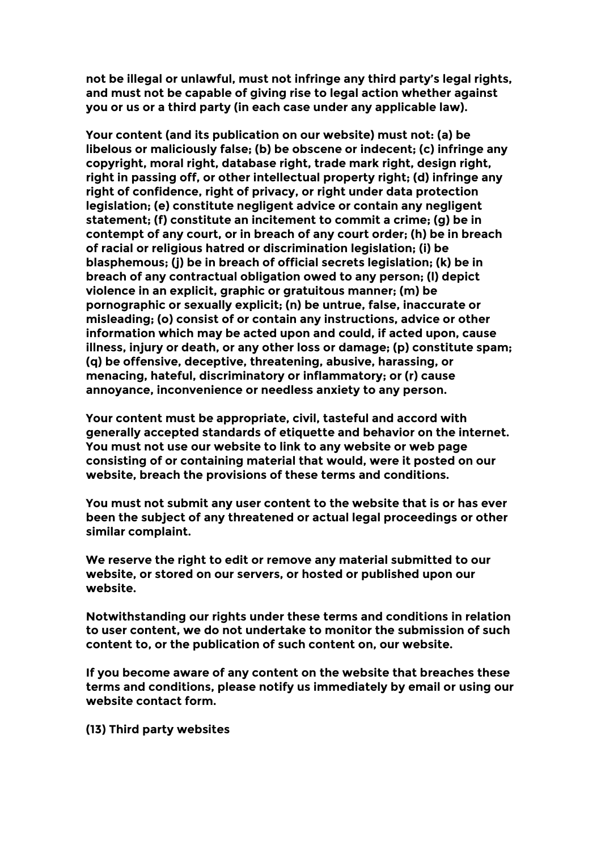**not be illegal or unlawful, must not infringe any third party's legal rights, and must not be capable of giving rise to legal action whether against you or us or a third party (in each case under any applicable law).**

**Your content (and its publication on our website) must not: (a) be libelous or maliciously false; (b) be obscene or indecent; (c) infringe any copyright, moral right, database right, trade mark right, design right, right in passing off, or other intellectual property right; (d) infringe any right of confidence, right of privacy, or right under data protection legislation; (e) constitute negligent advice or contain any negligent statement; (f) constitute an incitement to commit a crime; (g) be in contempt of any court, or in breach of any court order; (h) be in breach of racial or religious hatred or discrimination legislation; (i) be blasphemous; (j) be in breach of official secrets legislation; (k) be in breach of any contractual obligation owed to any person; (l) depict violence in an explicit, graphic or gratuitous manner; (m) be pornographic or sexually explicit; (n) be untrue, false, inaccurate or misleading; (o) consist of or contain any instructions, advice or other information which may be acted upon and could, if acted upon, cause illness, injury or death, or any other loss or damage; (p) constitute spam; (q) be offensive, deceptive, threatening, abusive, harassing, or menacing, hateful, discriminatory or inflammatory; or (r) cause annoyance, inconvenience or needless anxiety to any person.**

**Your content must be appropriate, civil, tasteful and accord with generally accepted standards of etiquette and behavior on the internet. You must not use our website to link to any website or web page consisting of or containing material that would, were it posted on our website, breach the provisions of these terms and conditions.**

**You must not submit any user content to the website that is or has ever been the subject of any threatened or actual legal proceedings or other similar complaint.**

**We reserve the right to edit or remove any material submitted to our website, or stored on our servers, or hosted or published upon our website.**

**Notwithstanding our rights under these terms and conditions in relation to user content, we do not undertake to monitor the submission of such content to, or the publication of such content on, our website.**

**If you become aware of any content on the website that breaches these terms and conditions, please notify us immediately by email or using our website contact form.**

**(13) Third party websites**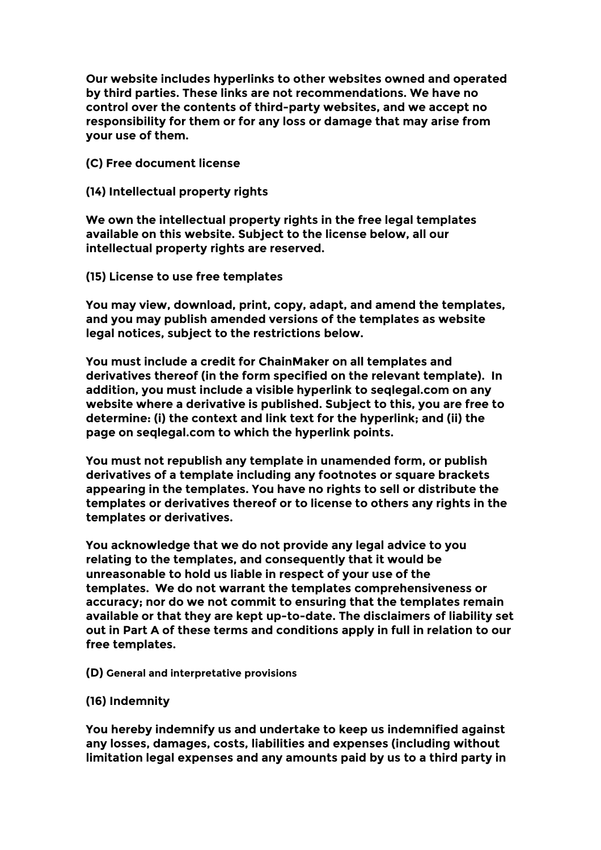**Our website includes hyperlinks to other websites owned and operated by third parties. These links are not recommendations. We have no control over the contents of third-party websites, and we accept no responsibility for them or for any loss or damage that may arise from your use of them.**

**(C) Free document license**

**(14) Intellectual property rights**

**We own the intellectual property rights in the free legal templates available on this website. Subject to the license below, all our intellectual property rights are reserved.**

**(15) License to use free templates**

**You may view, download, print, copy, adapt, and amend the templates, and you may publish amended versions of the templates as website legal notices, subject to the restrictions below.**

**You must include a credit for ChainMaker on all templates and derivatives thereof (in the form specified on the relevant template). In addition, you must include a visible hyperlink to seqlegal.com on any website where a derivative is published. Subject to this, you are free to determine: (i) the context and link text for the hyperlink; and (ii) the page on seqlegal.com to which the hyperlink points.**

**You must not republish any template in unamended form, or publish derivatives of a template including any footnotes or square brackets appearing in the templates. You have no rights to sell or distribute the templates or derivatives thereof or to license to others any rights in the templates or derivatives.**

**You acknowledge that we do not provide any legal advice to you relating to the templates, and consequently that it would be unreasonable to hold us liable in respect of your use of the templates. We do not warrant the templates comprehensiveness or accuracy; nor do we not commit to ensuring that the templates remain available or that they are kept up-to-date. The disclaimers of liability set out in Part A of these terms and conditions apply in full in relation to our free templates.**

**(D) General and interpretative provisions**

**(16) Indemnity**

**You hereby indemnify us and undertake to keep us indemnified against any losses, damages, costs, liabilities and expenses (including without limitation legal expenses and any amounts paid by us to a third party in**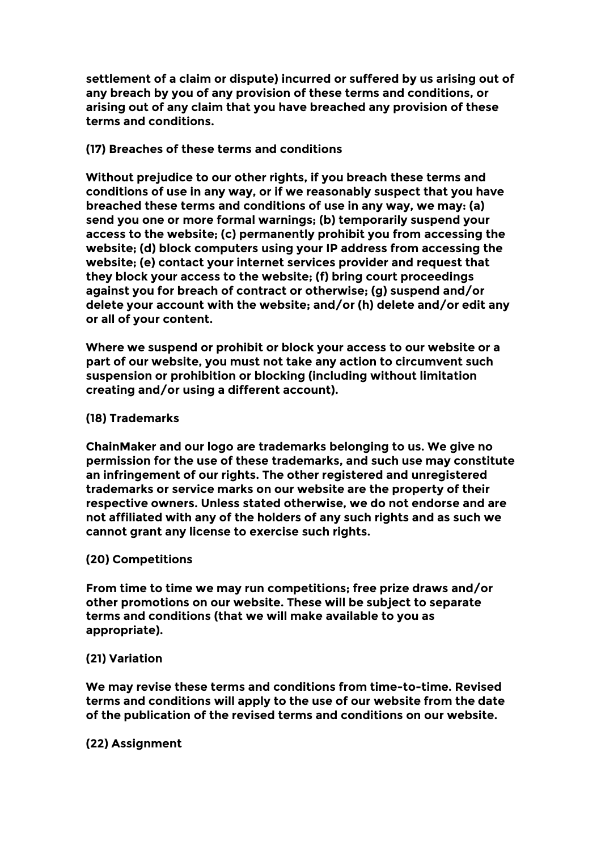**settlement of a claim or dispute) incurred or suffered by us arising out of any breach by you of any provision of these terms and conditions, or arising out of any claim that you have breached any provision of these terms and conditions.**

# **(17) Breaches of these terms and conditions**

**Without prejudice to our other rights, if you breach these terms and conditions of use in any way, or if we reasonably suspect that you have breached these terms and conditions of use in any way, we may: (a) send you one or more formal warnings; (b) temporarily suspend your access to the website; (c) permanently prohibit you from accessing the website; (d) block computers using your IP address from accessing the website; (e) contact your internet services provider and request that they block your access to the website; (f) bring court proceedings against you for breach of contract or otherwise; (g) suspend and/or delete your account with the website; and/or (h) delete and/or edit any or all of your content.**

**Where we suspend or prohibit or block your access to our website or a part of our website, you must not take any action to circumvent such suspension or prohibition or blocking (including without limitation creating and/or using a different account).**

# **(18) Trademarks**

**ChainMaker and our logo are trademarks belonging to us. We give no permission for the use of these trademarks, and such use may constitute an infringement of our rights. The other registered and unregistered trademarks or service marks on our website are the property of their respective owners. Unless stated otherwise, we do not endorse and are not affiliated with any of the holders of any such rights and as such we cannot grant any license to exercise such rights.**

### **(20) Competitions**

**From time to time we may run competitions; free prize draws and/or other promotions on our website. These will be subject to separate terms and conditions (that we will make available to you as appropriate).**

### **(21) Variation**

**We may revise these terms and conditions from time-to-time. Revised terms and conditions will apply to the use of our website from the date of the publication of the revised terms and conditions on our website.**

### **(22) Assignment**